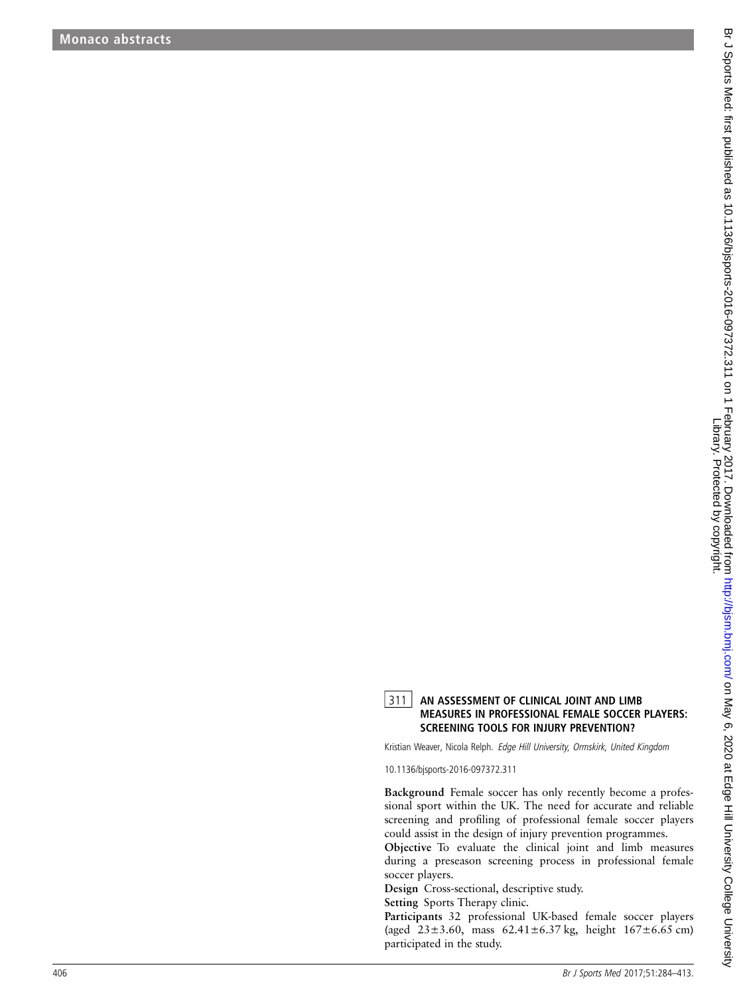## 311 AN ASSESSMENT OF CLINICAL JOINT AND LIMB MEASURES IN PROFESSIONAL FEMALE SOCCER PLAYERS: SCREENING TOOLS FOR INJURY PREVENTION?

Kristian Weaver, Nicola Relph. Edge Hill University, Ormskirk, United Kingdom

10.1136/bjsports-2016-097372.311

Background Female soccer has only recently become a professional sport within the UK. The need for accurate and reliable screening and pro filing of professional female soccer players could assist in the design of injury prevention programmes.

Objective To evaluate the clinical joint and limb measures during a preseason screening process in professional female soccer players.

Design Cross-sectional, descriptive study.

Setting Sports Therapy clinic.

Participants 32 professional UK-based female soccer players (aged 23±3.60, mass 62.41±6.37 kg, height 167±6.65 cm) participated in the study.